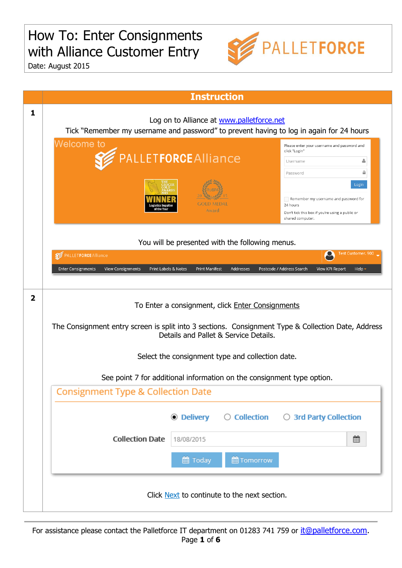## How To: Enter Consignments with Alliance Customer Entry



Date: August 2015

|                | <b>Instruction</b>                                                                                                                                                                  |  |  |  |  |  |  |  |  |
|----------------|-------------------------------------------------------------------------------------------------------------------------------------------------------------------------------------|--|--|--|--|--|--|--|--|
| 1              | Log on to Alliance at www.palletforce.net<br>Tick "Remember my username and password" to prevent having to log in again for 24 hours                                                |  |  |  |  |  |  |  |  |
|                | <b>Welcome to</b><br>Please enter your username and password and<br>click "Login"<br>PALLETFORCE Alliance<br>å<br>Username<br>≏                                                     |  |  |  |  |  |  |  |  |
|                | Password<br>Login<br>Remember my username and password for<br>24 hours<br>Award<br>Don't tick this box if you're using a public or<br>shared computer.                              |  |  |  |  |  |  |  |  |
|                | You will be presented with the following menus.                                                                                                                                     |  |  |  |  |  |  |  |  |
|                | Test Customer, 900<br>PALLETFORCE Alliance                                                                                                                                          |  |  |  |  |  |  |  |  |
|                | Print Labels & Notes<br>Addresses<br>Postcode / Address Search<br><b>Enter Consignments</b><br><b>View Consignments</b><br><b>Print Manifest</b><br>View KPI Report<br>Help $\cdot$ |  |  |  |  |  |  |  |  |
| $\overline{2}$ | To Enter a consignment, click Enter Consignments<br>The Consignment entry screen is split into 3 sections. Consignment Type & Collection Date, Address                              |  |  |  |  |  |  |  |  |
|                | Details and Pallet & Service Details.                                                                                                                                               |  |  |  |  |  |  |  |  |
|                | Select the consignment type and collection date.                                                                                                                                    |  |  |  |  |  |  |  |  |
|                | See point 7 for additional information on the consignment type option.                                                                                                              |  |  |  |  |  |  |  |  |
|                | <b>Consignment Type &amp; Collection Date</b>                                                                                                                                       |  |  |  |  |  |  |  |  |
|                | ◉ Delivery<br>$\bigcirc$ Collection $\bigcirc$ 3rd Party Collection                                                                                                                 |  |  |  |  |  |  |  |  |
|                | <b>Collection Date</b><br>▦<br>18/08/2015                                                                                                                                           |  |  |  |  |  |  |  |  |
|                | <b>Tomorrow</b><br>■ Today                                                                                                                                                          |  |  |  |  |  |  |  |  |
|                | Click Next to continute to the next section.                                                                                                                                        |  |  |  |  |  |  |  |  |

For assistance please contact the Palletforce IT department on 01283 741 759 or [it@palletforce.com.](mailto:it@palletforce.com) Page **1** of **6**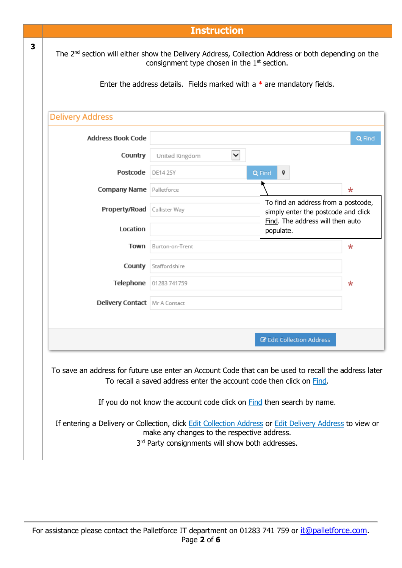|   |                                                                               | <b>Instruction</b>                                                                                                                                                                                                                           |                                                                            |        |  |  |  |
|---|-------------------------------------------------------------------------------|----------------------------------------------------------------------------------------------------------------------------------------------------------------------------------------------------------------------------------------------|----------------------------------------------------------------------------|--------|--|--|--|
| 3 |                                                                               | The 2 <sup>nd</sup> section will either show the Delivery Address, Collection Address or both depending on the<br>consignment type chosen in the $1st$ section.<br>Enter the address details. Fields marked with a $*$ are mandatory fields. |                                                                            |        |  |  |  |
|   | <b>Delivery Address</b>                                                       |                                                                                                                                                                                                                                              |                                                                            |        |  |  |  |
|   | <b>Address Book Code</b>                                                      |                                                                                                                                                                                                                                              |                                                                            | Q Find |  |  |  |
|   | Country                                                                       | $\checkmark$<br>United Kingdom                                                                                                                                                                                                               |                                                                            |        |  |  |  |
|   | Postcode                                                                      | <b>DE14 2SY</b>                                                                                                                                                                                                                              | Q Find<br>9                                                                |        |  |  |  |
|   | <b>Company Name</b> Palletforce                                               |                                                                                                                                                                                                                                              |                                                                            | *      |  |  |  |
|   | Property/Road                                                                 | Callister Way                                                                                                                                                                                                                                | To find an address from a postcode,<br>simply enter the postcode and click |        |  |  |  |
|   | Location                                                                      |                                                                                                                                                                                                                                              | Find. The address will then auto<br>populate.                              |        |  |  |  |
|   | Town                                                                          | Burton-on-Trent                                                                                                                                                                                                                              |                                                                            | $\ast$ |  |  |  |
|   | County                                                                        | Staffordshire                                                                                                                                                                                                                                |                                                                            |        |  |  |  |
|   | Telephone                                                                     | 01283 741759                                                                                                                                                                                                                                 |                                                                            | *      |  |  |  |
|   | Delivery Contact   Mr A Contact                                               |                                                                                                                                                                                                                                              |                                                                            |        |  |  |  |
|   |                                                                               |                                                                                                                                                                                                                                              |                                                                            |        |  |  |  |
|   |                                                                               |                                                                                                                                                                                                                                              | <b>Z</b> Edit Collection Address                                           |        |  |  |  |
|   |                                                                               | To save an address for future use enter an Account Code that can be used to recall the address later<br>To recall a saved address enter the account code then click on Find.                                                                 |                                                                            |        |  |  |  |
|   | If you do not know the account code click on <b>Find</b> then search by name. |                                                                                                                                                                                                                                              |                                                                            |        |  |  |  |
|   |                                                                               | If entering a Delivery or Collection, click Edit Collection Address or Edit Delivery Address to view or<br>make any changes to the respective address.<br>3rd Party consignments will show both addresses.                                   |                                                                            |        |  |  |  |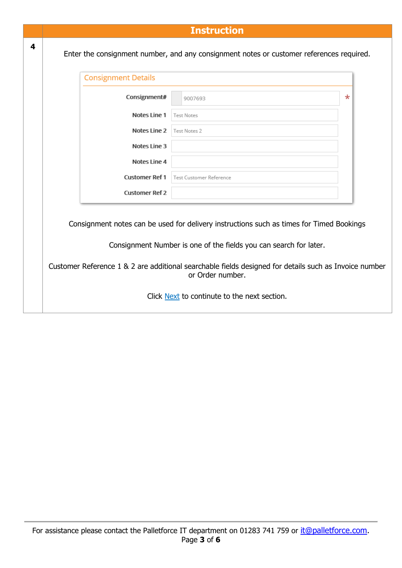|   |                                                                                                                                                                                                                                                                        | <b>Instruction</b>                                                                       |        |  |  |  |  |  |
|---|------------------------------------------------------------------------------------------------------------------------------------------------------------------------------------------------------------------------------------------------------------------------|------------------------------------------------------------------------------------------|--------|--|--|--|--|--|
| 4 |                                                                                                                                                                                                                                                                        | Enter the consignment number, and any consignment notes or customer references required. |        |  |  |  |  |  |
|   | <b>Consignment Details</b>                                                                                                                                                                                                                                             |                                                                                          |        |  |  |  |  |  |
|   | Consignment#                                                                                                                                                                                                                                                           | 9007693                                                                                  | $\ast$ |  |  |  |  |  |
|   | Notes Line 1                                                                                                                                                                                                                                                           | <b>Test Notes</b>                                                                        |        |  |  |  |  |  |
|   | Notes Line 2                                                                                                                                                                                                                                                           | Test Notes 2                                                                             |        |  |  |  |  |  |
|   | Notes Line 3                                                                                                                                                                                                                                                           |                                                                                          |        |  |  |  |  |  |
|   | Notes Line 4                                                                                                                                                                                                                                                           |                                                                                          |        |  |  |  |  |  |
|   | <b>Customer Ref 1</b>                                                                                                                                                                                                                                                  | <b>Test Customer Reference</b>                                                           |        |  |  |  |  |  |
|   | <b>Customer Ref 2</b>                                                                                                                                                                                                                                                  |                                                                                          |        |  |  |  |  |  |
|   | Consignment notes can be used for delivery instructions such as times for Timed Bookings<br>Consignment Number is one of the fields you can search for later.<br>Customer Reference 1 & 2 are additional searchable fields designed for details such as Invoice number |                                                                                          |        |  |  |  |  |  |
|   |                                                                                                                                                                                                                                                                        | or Order number.<br>Click Next to continute to the next section.                         |        |  |  |  |  |  |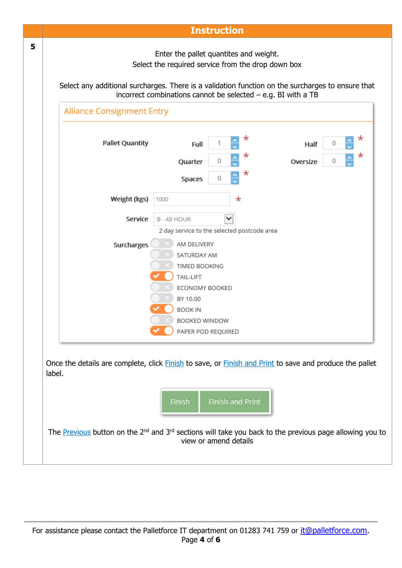| Enter the pallet quantites and weight.<br>Select the required service from the drop down box<br>Select any additional surcharges. There is a validation function on the surcharges to ensure that<br>incorrect combinations cannot be selected $-$ e.g. BI with a TB<br><b>Alliance Consignment Entry</b><br><b>Pallet Quantity</b><br>Full<br>Quarter<br>Spaces<br>Weight (kgs)<br>1000<br>Service<br>B-48 HOUR<br>Surcharges<br>AM DELIVERY<br>SATURDAY AM<br>TIMED BOOKING | *<br>*<br>0<br>*<br>0<br>$\ast$<br>2 day service to the selected postcode area | Oversize                            | 0<br>Half<br>0          |                                                                                                                                 | *<br>*                                                                                                  |
|-------------------------------------------------------------------------------------------------------------------------------------------------------------------------------------------------------------------------------------------------------------------------------------------------------------------------------------------------------------------------------------------------------------------------------------------------------------------------------|--------------------------------------------------------------------------------|-------------------------------------|-------------------------|---------------------------------------------------------------------------------------------------------------------------------|---------------------------------------------------------------------------------------------------------|
|                                                                                                                                                                                                                                                                                                                                                                                                                                                                               |                                                                                |                                     |                         |                                                                                                                                 |                                                                                                         |
|                                                                                                                                                                                                                                                                                                                                                                                                                                                                               |                                                                                |                                     |                         |                                                                                                                                 |                                                                                                         |
|                                                                                                                                                                                                                                                                                                                                                                                                                                                                               |                                                                                |                                     |                         |                                                                                                                                 |                                                                                                         |
|                                                                                                                                                                                                                                                                                                                                                                                                                                                                               |                                                                                |                                     |                         |                                                                                                                                 |                                                                                                         |
|                                                                                                                                                                                                                                                                                                                                                                                                                                                                               |                                                                                |                                     |                         |                                                                                                                                 |                                                                                                         |
|                                                                                                                                                                                                                                                                                                                                                                                                                                                                               |                                                                                |                                     |                         |                                                                                                                                 |                                                                                                         |
|                                                                                                                                                                                                                                                                                                                                                                                                                                                                               |                                                                                |                                     |                         |                                                                                                                                 |                                                                                                         |
|                                                                                                                                                                                                                                                                                                                                                                                                                                                                               |                                                                                |                                     |                         |                                                                                                                                 |                                                                                                         |
|                                                                                                                                                                                                                                                                                                                                                                                                                                                                               |                                                                                |                                     |                         |                                                                                                                                 |                                                                                                         |
|                                                                                                                                                                                                                                                                                                                                                                                                                                                                               |                                                                                |                                     |                         |                                                                                                                                 |                                                                                                         |
|                                                                                                                                                                                                                                                                                                                                                                                                                                                                               |                                                                                |                                     |                         |                                                                                                                                 |                                                                                                         |
|                                                                                                                                                                                                                                                                                                                                                                                                                                                                               |                                                                                |                                     |                         |                                                                                                                                 |                                                                                                         |
| TAIL-LIFT                                                                                                                                                                                                                                                                                                                                                                                                                                                                     |                                                                                |                                     |                         |                                                                                                                                 |                                                                                                         |
| ECONOMY BOOKED                                                                                                                                                                                                                                                                                                                                                                                                                                                                |                                                                                |                                     |                         |                                                                                                                                 |                                                                                                         |
| BY 10.00                                                                                                                                                                                                                                                                                                                                                                                                                                                                      |                                                                                |                                     |                         |                                                                                                                                 |                                                                                                         |
| <b>BOOK IN</b>                                                                                                                                                                                                                                                                                                                                                                                                                                                                |                                                                                |                                     |                         |                                                                                                                                 |                                                                                                         |
|                                                                                                                                                                                                                                                                                                                                                                                                                                                                               |                                                                                |                                     |                         |                                                                                                                                 |                                                                                                         |
|                                                                                                                                                                                                                                                                                                                                                                                                                                                                               |                                                                                |                                     |                         |                                                                                                                                 |                                                                                                         |
|                                                                                                                                                                                                                                                                                                                                                                                                                                                                               | Finish                                                                         | BOOKED WINDOW<br>PAPER POD REQUIRED | <b>Finish and Print</b> | The Previous button on the 2 <sup>nd</sup> and 3 <sup>rd</sup> sections will take you back to the previous page allowing you to | Once the details are complete, click Finish to save, or Finish and Print to save and produce the pallet |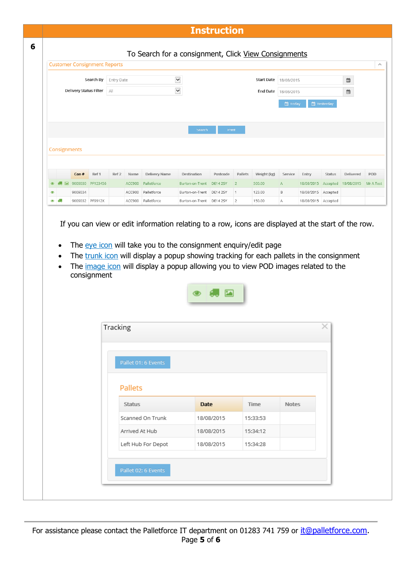## **Instruction**

|   |           |              |         | Search By              | Entry Date |                |                                                                                                                                                                                                                                                                                                                                                                 | $\checkmark$             |            |                | <b>Start Date</b> | 18/08/2015   |                                          |                    | ▦         |
|---|-----------|--------------|---------|------------------------|------------|----------------|-----------------------------------------------------------------------------------------------------------------------------------------------------------------------------------------------------------------------------------------------------------------------------------------------------------------------------------------------------------------|--------------------------|------------|----------------|-------------------|--------------|------------------------------------------|--------------------|-----------|
|   |           |              |         | Delivery Status Filter | All        |                |                                                                                                                                                                                                                                                                                                                                                                 | $\checkmark$             |            |                | <b>End Date</b>   | 18/08/2015   |                                          |                    | ▦         |
|   |           |              |         |                        |            |                |                                                                                                                                                                                                                                                                                                                                                                 |                          |            |                |                   | ■ Today      |                                          | <b>M</b> Yesterday |           |
|   |           |              |         |                        |            |                |                                                                                                                                                                                                                                                                                                                                                                 | Search                   | Print      |                |                   |              |                                          |                    |           |
|   |           | Consignments |         |                        |            |                |                                                                                                                                                                                                                                                                                                                                                                 |                          |            |                |                   |              |                                          |                    |           |
|   |           |              | Con#    | Ref 1                  | Ref 2      | Name           | Delivery Name                                                                                                                                                                                                                                                                                                                                                   | Destination              | Postcode   | Pallets        | Weight (kg)       | Service      | Entry                                    | Status             | Delivered |
|   |           |              |         | 9009030 PF123456       |            | ACC900         | Palletforce                                                                                                                                                                                                                                                                                                                                                     | Burton-on-Trent DE14 25Y |            | $\overline{2}$ | 500.00            | $\mathsf{A}$ | 18/08/2015 Accepted 18/08/2015 Mr A Test |                    |           |
|   |           |              | 9009034 |                        |            | ACC900         | Palletforce                                                                                                                                                                                                                                                                                                                                                     | Burton-on-Trent DE14 25Y |            | $\overline{1}$ | 123.00            | B            | 18/08/2015 Accepted                      |                    |           |
| ҩ |           |              |         | 9009032 PF9912X        |            |                | ACC900 Palletforce                                                                                                                                                                                                                                                                                                                                              | Burton-on-Trent DE14 2SY |            | $\overline{2}$ | 150.00            | Α            | 18/08/2015 Accepted                      |                    |           |
|   | $\bullet$ |              |         | consignment            |            |                | If you can view or edit information relating to a row, icons are displayed at the start of the row.<br>The eye icon will take you to the consignment enquiry/edit page<br>The trunk icon will display a popup showing tracking for each pallets in the consignment<br>The <i>image icon</i> will display a popup allowing you to view POD images related to the |                          |            |                |                   |              |                                          |                    |           |
|   |           |              |         |                        |            |                |                                                                                                                                                                                                                                                                                                                                                                 |                          |            |                |                   |              |                                          |                    |           |
|   |           |              |         |                        | Tracking   |                |                                                                                                                                                                                                                                                                                                                                                                 |                          |            |                |                   |              |                                          | ×                  |           |
|   |           |              |         |                        |            |                | Pallet 01: 6 Events                                                                                                                                                                                                                                                                                                                                             |                          |            |                |                   |              |                                          |                    |           |
|   |           |              |         |                        |            | <b>Pallets</b> |                                                                                                                                                                                                                                                                                                                                                                 |                          |            |                |                   |              |                                          |                    |           |
|   |           |              |         |                        |            | <b>Status</b>  |                                                                                                                                                                                                                                                                                                                                                                 | Date                     |            |                | Time              | Notes        |                                          |                    |           |
|   |           |              |         |                        |            |                | Scanned On Trunk                                                                                                                                                                                                                                                                                                                                                |                          | 18/08/2015 |                | 15:33:53          |              |                                          |                    |           |
|   |           |              |         |                        |            | Arrived At Hub |                                                                                                                                                                                                                                                                                                                                                                 |                          | 18/08/2015 |                | 15:34:12          |              |                                          |                    |           |